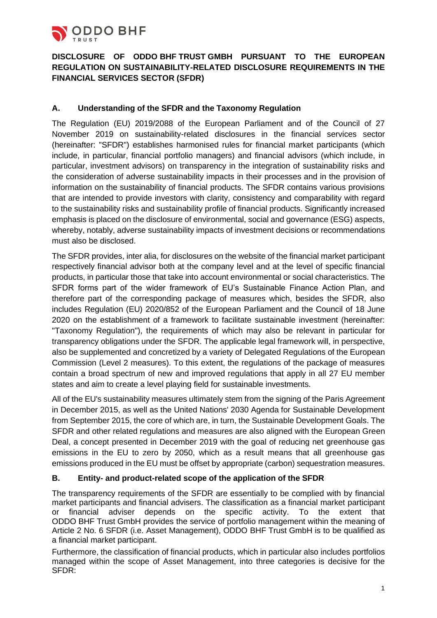

## **DISCLOSURE OF ODDO BHF TRUST GMBH PURSUANT TO THE EUROPEAN REGULATION ON SUSTAINABILITY-RELATED DISCLOSURE REQUIREMENTS IN THE FINANCIAL SERVICES SECTOR (SFDR)**

## **A. Understanding of the SFDR and the Taxonomy Regulation**

The Regulation (EU) 2019/2088 of the European Parliament and of the Council of 27 November 2019 on sustainability-related disclosures in the financial services sector (hereinafter: "SFDR") establishes harmonised rules for financial market participants (which include, in particular, financial portfolio managers) and financial advisors (which include, in particular, investment advisors) on transparency in the integration of sustainability risks and the consideration of adverse sustainability impacts in their processes and in the provision of information on the sustainability of financial products. The SFDR contains various provisions that are intended to provide investors with clarity, consistency and comparability with regard to the sustainability risks and sustainability profile of financial products. Significantly increased emphasis is placed on the disclosure of environmental, social and governance (ESG) aspects, whereby, notably, adverse sustainability impacts of investment decisions or recommendations must also be disclosed.

The SFDR provides, inter alia, for disclosures on the website of the financial market participant respectively financial advisor both at the company level and at the level of specific financial products, in particular those that take into account environmental or social characteristics. The SFDR forms part of the wider framework of EU's Sustainable Finance Action Plan, and therefore part of the corresponding package of measures which, besides the SFDR, also includes Regulation (EU) 2020/852 of the European Parliament and the Council of 18 June 2020 on the establishment of a framework to facilitate sustainable investment (hereinafter: "Taxonomy Regulation"), the requirements of which may also be relevant in particular for transparency obligations under the SFDR. The applicable legal framework will, in perspective, also be supplemented and concretized by a variety of Delegated Regulations of the European Commission (Level 2 measures). To this extent, the regulations of the package of measures contain a broad spectrum of new and improved regulations that apply in all 27 EU member states and aim to create a level playing field for sustainable investments.

All of the EU's sustainability measures ultimately stem from the signing of the Paris Agreement in December 2015, as well as the United Nations' 2030 Agenda for Sustainable Development from September 2015, the core of which are, in turn, the Sustainable Development Goals. The SFDR and other related regulations and measures are also aligned with the European Green Deal, a concept presented in December 2019 with the goal of reducing net greenhouse gas emissions in the EU to zero by 2050, which as a result means that all greenhouse gas emissions produced in the EU must be offset by appropriate (carbon) sequestration measures.

## **B. Entity- and product-related scope of the application of the SFDR**

The transparency requirements of the SFDR are essentially to be complied with by financial market participants and financial advisers. The classification as a financial market participant or financial adviser depends on the specific activity. To the extent that ODDO BHF Trust GmbH provides the service of portfolio management within the meaning of Article 2 No. 6 SFDR (i.e. Asset Management), ODDO BHF Trust GmbH is to be qualified as a financial market participant.

Furthermore, the classification of financial products, which in particular also includes portfolios managed within the scope of Asset Management, into three categories is decisive for the SFDR: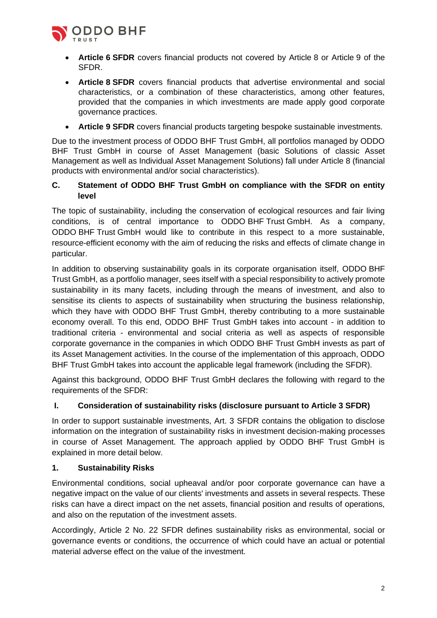

- **Article 6 SFDR** covers financial products not covered by Article 8 or Article 9 of the SFDR.
- **Article 8 SFDR** covers financial products that advertise environmental and social characteristics, or a combination of these characteristics, among other features, provided that the companies in which investments are made apply good corporate governance practices.
- **Article 9 SFDR** covers financial products targeting bespoke sustainable investments.

Due to the investment process of ODDO BHF Trust GmbH, all portfolios managed by ODDO BHF Trust GmbH in course of Asset Management (basic Solutions of classic Asset Management as well as Individual Asset Management Solutions) fall under Article 8 (financial products with environmental and/or social characteristics).

## **C. Statement of ODDO BHF Trust GmbH on compliance with the SFDR on entity level**

The topic of sustainability, including the conservation of ecological resources and fair living conditions, is of central importance to ODDO BHF Trust GmbH. As a company, ODDO BHF Trust GmbH would like to contribute in this respect to a more sustainable, resource-efficient economy with the aim of reducing the risks and effects of climate change in particular.

In addition to observing sustainability goals in its corporate organisation itself, ODDO BHF Trust GmbH, as a portfolio manager, sees itself with a special responsibility to actively promote sustainability in its many facets, including through the means of investment, and also to sensitise its clients to aspects of sustainability when structuring the business relationship, which they have with ODDO BHF Trust GmbH, thereby contributing to a more sustainable economy overall. To this end, ODDO BHF Trust GmbH takes into account - in addition to traditional criteria - environmental and social criteria as well as aspects of responsible corporate governance in the companies in which ODDO BHF Trust GmbH invests as part of its Asset Management activities. In the course of the implementation of this approach, ODDO BHF Trust GmbH takes into account the applicable legal framework (including the SFDR).

Against this background, ODDO BHF Trust GmbH declares the following with regard to the requirements of the SFDR:

#### **I. Consideration of sustainability risks (disclosure pursuant to Article 3 SFDR)**

In order to support sustainable investments, Art. 3 SFDR contains the obligation to disclose information on the integration of sustainability risks in investment decision-making processes in course of Asset Management. The approach applied by ODDO BHF Trust GmbH is explained in more detail below.

#### **1. Sustainability Risks**

Environmental conditions, social upheaval and/or poor corporate governance can have a negative impact on the value of our clients' investments and assets in several respects. These risks can have a direct impact on the net assets, financial position and results of operations, and also on the reputation of the investment assets.

Accordingly, Article 2 No. 22 SFDR defines sustainability risks as environmental, social or governance events or conditions, the occurrence of which could have an actual or potential material adverse effect on the value of the investment.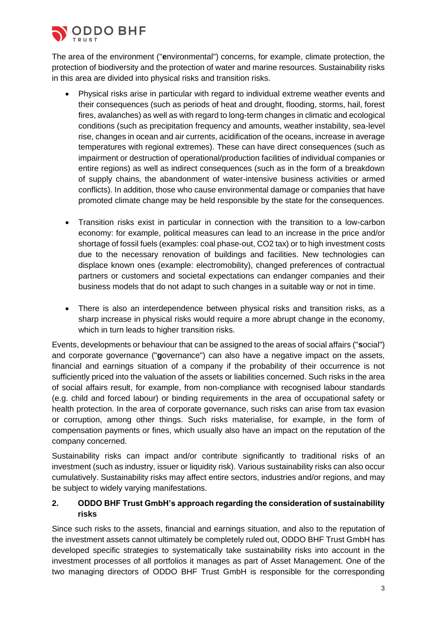

The area of the environment ("**e**nvironmental") concerns, for example, climate protection, the protection of biodiversity and the protection of water and marine resources. Sustainability risks in this area are divided into physical risks and transition risks.

- Physical risks arise in particular with regard to individual extreme weather events and their consequences (such as periods of heat and drought, flooding, storms, hail, forest fires, avalanches) as well as with regard to long-term changes in climatic and ecological conditions (such as precipitation frequency and amounts, weather instability, sea-level rise, changes in ocean and air currents, acidification of the oceans, increase in average temperatures with regional extremes). These can have direct consequences (such as impairment or destruction of operational/production facilities of individual companies or entire regions) as well as indirect consequences (such as in the form of a breakdown of supply chains, the abandonment of water-intensive business activities or armed conflicts). In addition, those who cause environmental damage or companies that have promoted climate change may be held responsible by the state for the consequences.
- Transition risks exist in particular in connection with the transition to a low-carbon economy: for example, political measures can lead to an increase in the price and/or shortage of fossil fuels (examples: coal phase-out, CO2 tax) or to high investment costs due to the necessary renovation of buildings and facilities. New technologies can displace known ones (example: electromobility), changed preferences of contractual partners or customers and societal expectations can endanger companies and their business models that do not adapt to such changes in a suitable way or not in time.
- There is also an interdependence between physical risks and transition risks, as a sharp increase in physical risks would require a more abrupt change in the economy, which in turn leads to higher transition risks.

Events, developments or behaviour that can be assigned to the areas of social affairs ("**s**ocial") and corporate governance ("**g**overnance") can also have a negative impact on the assets, financial and earnings situation of a company if the probability of their occurrence is not sufficiently priced into the valuation of the assets or liabilities concerned. Such risks in the area of social affairs result, for example, from non-compliance with recognised labour standards (e.g. child and forced labour) or binding requirements in the area of occupational safety or health protection. In the area of corporate governance, such risks can arise from tax evasion or corruption, among other things. Such risks materialise, for example, in the form of compensation payments or fines, which usually also have an impact on the reputation of the company concerned.

Sustainability risks can impact and/or contribute significantly to traditional risks of an investment (such as industry, issuer or liquidity risk). Various sustainability risks can also occur cumulatively. Sustainability risks may affect entire sectors, industries and/or regions, and may be subject to widely varying manifestations.

## **2. ODDO BHF Trust GmbH's approach regarding the consideration of sustainability risks**

Since such risks to the assets, financial and earnings situation, and also to the reputation of the investment assets cannot ultimately be completely ruled out, ODDO BHF Trust GmbH has developed specific strategies to systematically take sustainability risks into account in the investment processes of all portfolios it manages as part of Asset Management. One of the two managing directors of ODDO BHF Trust GmbH is responsible for the corresponding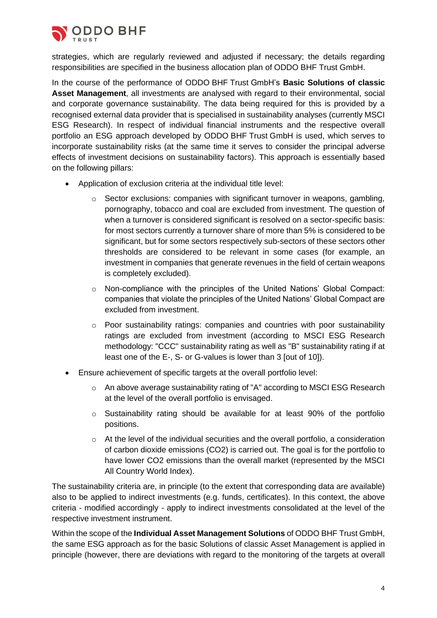

strategies, which are regularly reviewed and adjusted if necessary; the details regarding responsibilities are specified in the business allocation plan of ODDO BHF Trust GmbH.

In the course of the performance of ODDO BHF Trust GmbH's **Basic Solutions of classic Asset Management**, all investments are analysed with regard to their environmental, social and corporate governance sustainability. The data being required for this is provided by a recognised external data provider that is specialised in sustainability analyses (currently MSCI ESG Research). In respect of individual financial instruments and the respective overall portfolio an ESG approach developed by ODDO BHF Trust GmbH is used, which serves to incorporate sustainability risks (at the same time it serves to consider the principal adverse effects of investment decisions on sustainability factors). This approach is essentially based on the following pillars:

- Application of exclusion criteria at the individual title level:
	- o Sector exclusions: companies with significant turnover in weapons, gambling, pornography, tobacco and coal are excluded from investment. The question of when a turnover is considered significant is resolved on a sector-specific basis: for most sectors currently a turnover share of more than 5% is considered to be significant, but for some sectors respectively sub-sectors of these sectors other thresholds are considered to be relevant in some cases (for example, an investment in companies that generate revenues in the field of certain weapons is completely excluded).
	- o Non-compliance with the principles of the United Nations' Global Compact: companies that violate the principles of the United Nations' Global Compact are excluded from investment.
	- o Poor sustainability ratings: companies and countries with poor sustainability ratings are excluded from investment (according to MSCI ESG Research methodology: "CCC" sustainability rating as well as "B" sustainability rating if at least one of the E-, S- or G-values is lower than 3 [out of 10]).
- Ensure achievement of specific targets at the overall portfolio level:
	- o An above average sustainability rating of "A" according to MSCI ESG Research at the level of the overall portfolio is envisaged.
	- o Sustainability rating should be available for at least 90% of the portfolio positions.
	- o At the level of the individual securities and the overall portfolio, a consideration of carbon dioxide emissions (CO2) is carried out. The goal is for the portfolio to have lower CO2 emissions than the overall market (represented by the MSCI All Country World Index).

The sustainability criteria are, in principle (to the extent that corresponding data are available) also to be applied to indirect investments (e.g. funds, certificates). In this context, the above criteria - modified accordingly - apply to indirect investments consolidated at the level of the respective investment instrument.

Within the scope of the **Individual Asset Management Solutions** of ODDO BHF Trust GmbH, the same ESG approach as for the basic Solutions of classic Asset Management is applied in principle (however, there are deviations with regard to the monitoring of the targets at overall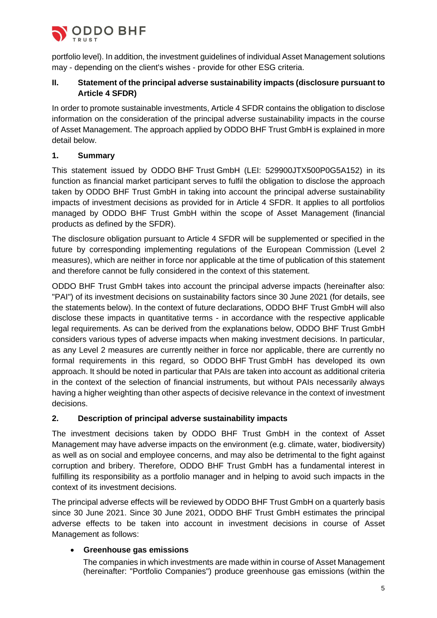

portfolio level). In addition, the investment guidelines of individual Asset Management solutions may - depending on the client's wishes - provide for other ESG criteria.

## **II. Statement of the principal adverse sustainability impacts (disclosure pursuant to Article 4 SFDR)**

In order to promote sustainable investments, Article 4 SFDR contains the obligation to disclose information on the consideration of the principal adverse sustainability impacts in the course of Asset Management. The approach applied by ODDO BHF Trust GmbH is explained in more detail below.

#### **1. Summary**

This statement issued by ODDO BHF Trust GmbH (LEI: 529900JTX500P0G5A152) in its function as financial market participant serves to fulfil the obligation to disclose the approach taken by ODDO BHF Trust GmbH in taking into account the principal adverse sustainability impacts of investment decisions as provided for in Article 4 SFDR. It applies to all portfolios managed by ODDO BHF Trust GmbH within the scope of Asset Management (financial products as defined by the SFDR).

The disclosure obligation pursuant to Article 4 SFDR will be supplemented or specified in the future by corresponding implementing regulations of the European Commission (Level 2 measures), which are neither in force nor applicable at the time of publication of this statement and therefore cannot be fully considered in the context of this statement.

ODDO BHF Trust GmbH takes into account the principal adverse impacts (hereinafter also: "PAI") of its investment decisions on sustainability factors since 30 June 2021 (for details, see the statements below). In the context of future declarations, ODDO BHF Trust GmbH will also disclose these impacts in quantitative terms - in accordance with the respective applicable legal requirements. As can be derived from the explanations below, ODDO BHF Trust GmbH considers various types of adverse impacts when making investment decisions. In particular, as any Level 2 measures are currently neither in force nor applicable, there are currently no formal requirements in this regard, so ODDO BHF Trust GmbH has developed its own approach. It should be noted in particular that PAIs are taken into account as additional criteria in the context of the selection of financial instruments, but without PAIs necessarily always having a higher weighting than other aspects of decisive relevance in the context of investment decisions.

## **2. Description of principal adverse sustainability impacts**

The investment decisions taken by ODDO BHF Trust GmbH in the context of Asset Management may have adverse impacts on the environment (e.g. climate, water, biodiversity) as well as on social and employee concerns, and may also be detrimental to the fight against corruption and bribery. Therefore, ODDO BHF Trust GmbH has a fundamental interest in fulfilling its responsibility as a portfolio manager and in helping to avoid such impacts in the context of its investment decisions.

The principal adverse effects will be reviewed by ODDO BHF Trust GmbH on a quarterly basis since 30 June 2021. Since 30 June 2021, ODDO BHF Trust GmbH estimates the principal adverse effects to be taken into account in investment decisions in course of Asset Management as follows:

## • **Greenhouse gas emissions**

The companies in which investments are made within in course of Asset Management (hereinafter: "Portfolio Companies") produce greenhouse gas emissions (within the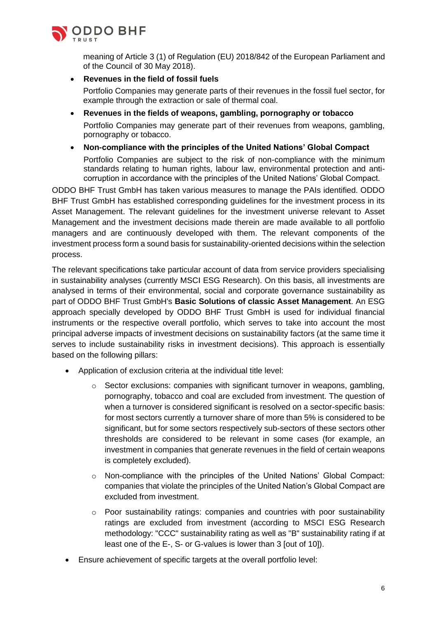

meaning of Article 3 (1) of Regulation (EU) 2018/842 of the European Parliament and of the Council of 30 May 2018).

## • **Revenues in the field of fossil fuels**

Portfolio Companies may generate parts of their revenues in the fossil fuel sector, for example through the extraction or sale of thermal coal.

• **Revenues in the fields of weapons, gambling, pornography or tobacco** Portfolio Companies may generate part of their revenues from weapons, gambling, pornography or tobacco.

# • **Non-compliance with the principles of the United Nations' Global Compact**

Portfolio Companies are subject to the risk of non-compliance with the minimum standards relating to human rights, labour law, environmental protection and anticorruption in accordance with the principles of the United Nations' Global Compact.

ODDO BHF Trust GmbH has taken various measures to manage the PAIs identified. ODDO BHF Trust GmbH has established corresponding guidelines for the investment process in its Asset Management. The relevant guidelines for the investment universe relevant to Asset Management and the investment decisions made therein are made available to all portfolio managers and are continuously developed with them. The relevant components of the investment process form a sound basis for sustainability-oriented decisions within the selection process.

The relevant specifications take particular account of data from service providers specialising in sustainability analyses (currently MSCI ESG Research). On this basis, all investments are analysed in terms of their environmental, social and corporate governance sustainability as part of ODDO BHF Trust GmbH's **Basic Solutions of classic Asset Management**. An ESG approach specially developed by ODDO BHF Trust GmbH is used for individual financial instruments or the respective overall portfolio, which serves to take into account the most principal adverse impacts of investment decisions on sustainability factors (at the same time it serves to include sustainability risks in investment decisions). This approach is essentially based on the following pillars:

- Application of exclusion criteria at the individual title level:
	- $\circ$  Sector exclusions: companies with significant turnover in weapons, gambling, pornography, tobacco and coal are excluded from investment. The question of when a turnover is considered significant is resolved on a sector-specific basis: for most sectors currently a turnover share of more than 5% is considered to be significant, but for some sectors respectively sub-sectors of these sectors other thresholds are considered to be relevant in some cases (for example, an investment in companies that generate revenues in the field of certain weapons is completely excluded).
	- $\circ$  Non-compliance with the principles of the United Nations' Global Compact: companies that violate the principles of the United Nation's Global Compact are excluded from investment.
	- $\circ$  Poor sustainability ratings: companies and countries with poor sustainability ratings are excluded from investment (according to MSCI ESG Research methodology: "CCC" sustainability rating as well as "B" sustainability rating if at least one of the E-, S- or G-values is lower than 3 [out of 10]).
- Ensure achievement of specific targets at the overall portfolio level: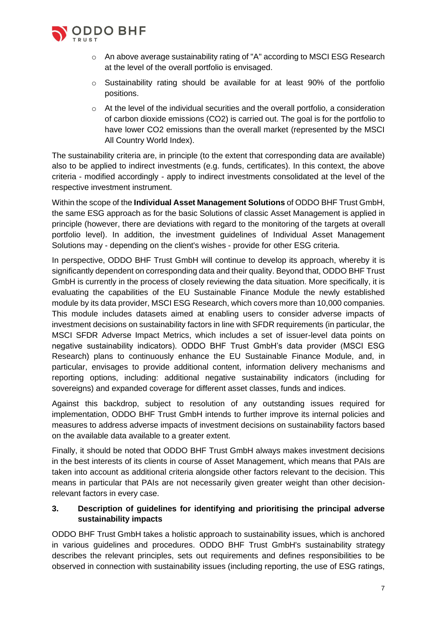

- o An above average sustainability rating of "A" according to MSCI ESG Research at the level of the overall portfolio is envisaged.
- o Sustainability rating should be available for at least 90% of the portfolio positions.
- o At the level of the individual securities and the overall portfolio, a consideration of carbon dioxide emissions (CO2) is carried out. The goal is for the portfolio to have lower CO2 emissions than the overall market (represented by the MSCI All Country World Index).

The sustainability criteria are, in principle (to the extent that corresponding data are available) also to be applied to indirect investments (e.g. funds, certificates). In this context, the above criteria - modified accordingly - apply to indirect investments consolidated at the level of the respective investment instrument.

Within the scope of the **Individual Asset Management Solutions** of ODDO BHF Trust GmbH, the same ESG approach as for the basic Solutions of classic Asset Management is applied in principle (however, there are deviations with regard to the monitoring of the targets at overall portfolio level). In addition, the investment guidelines of Individual Asset Management Solutions may - depending on the client's wishes - provide for other ESG criteria.

In perspective, ODDO BHF Trust GmbH will continue to develop its approach, whereby it is significantly dependent on corresponding data and their quality. Beyond that, ODDO BHF Trust GmbH is currently in the process of closely reviewing the data situation. More specifically, it is evaluating the capabilities of the EU Sustainable Finance Module the newly established module by its data provider, MSCI ESG Research, which covers more than 10,000 companies. This module includes datasets aimed at enabling users to consider adverse impacts of investment decisions on sustainability factors in line with SFDR requirements (in particular, the MSCI SFDR Adverse Impact Metrics, which includes a set of issuer-level data points on negative sustainability indicators). ODDO BHF Trust GmbH's data provider (MSCI ESG Research) plans to continuously enhance the EU Sustainable Finance Module, and, in particular, envisages to provide additional content, information delivery mechanisms and reporting options, including: additional negative sustainability indicators (including for sovereigns) and expanded coverage for different asset classes, funds and indices.

Against this backdrop, subject to resolution of any outstanding issues required for implementation, ODDO BHF Trust GmbH intends to further improve its internal policies and measures to address adverse impacts of investment decisions on sustainability factors based on the available data available to a greater extent.

Finally, it should be noted that ODDO BHF Trust GmbH always makes investment decisions in the best interests of its clients in course of Asset Management, which means that PAIs are taken into account as additional criteria alongside other factors relevant to the decision. This means in particular that PAIs are not necessarily given greater weight than other decisionrelevant factors in every case.

## **3. Description of guidelines for identifying and prioritising the principal adverse sustainability impacts**

ODDO BHF Trust GmbH takes a holistic approach to sustainability issues, which is anchored in various guidelines and procedures. ODDO BHF Trust GmbH's sustainability strategy describes the relevant principles, sets out requirements and defines responsibilities to be observed in connection with sustainability issues (including reporting, the use of ESG ratings,